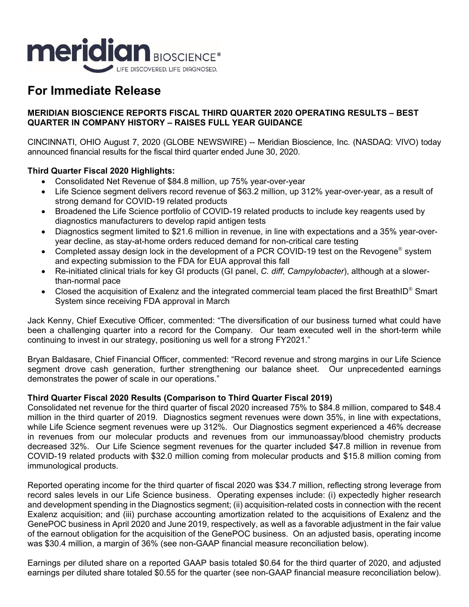

# **For Immediate Release**

## **MERIDIAN BIOSCIENCE REPORTS FISCAL THIRD QUARTER 2020 OPERATING RESULTS – BEST QUARTER IN COMPANY HISTORY – RAISES FULL YEAR GUIDANCE**

CINCINNATI, OHIO August 7, 2020 (GLOBE NEWSWIRE) -- Meridian Bioscience, Inc. (NASDAQ: VIVO) today announced financial results for the fiscal third quarter ended June 30, 2020.

## **Third Quarter Fiscal 2020 Highlights:**

- Consolidated Net Revenue of \$84.8 million, up 75% year-over-year
- Life Science segment delivers record revenue of \$63.2 million, up 312% year-over-year, as a result of strong demand for COVID-19 related products
- Broadened the Life Science portfolio of COVID-19 related products to include key reagents used by diagnostics manufacturers to develop rapid antigen tests
- Diagnostics segment limited to \$21.6 million in revenue, in line with expectations and a 35% year-overyear decline, as stay-at-home orders reduced demand for non-critical care testing
- Completed assay design lock in the development of a PCR COVID-19 test on the Revogene® system and expecting submission to the FDA for EUA approval this fall
- Re-initiated clinical trials for key GI products (GI panel, *C. diff*, *Campylobacter*), although at a slowerthan-normal pace
- Closed the acquisition of Exalenz and the integrated commercial team placed the first BreathID® Smart System since receiving FDA approval in March

Jack Kenny, Chief Executive Officer, commented: "The diversification of our business turned what could have been a challenging quarter into a record for the Company. Our team executed well in the short-term while continuing to invest in our strategy, positioning us well for a strong FY2021."

Bryan Baldasare, Chief Financial Officer, commented: "Record revenue and strong margins in our Life Science segment drove cash generation, further strengthening our balance sheet. Our unprecedented earnings demonstrates the power of scale in our operations."

#### **Third Quarter Fiscal 2020 Results (Comparison to Third Quarter Fiscal 2019)**

Consolidated net revenue for the third quarter of fiscal 2020 increased 75% to \$84.8 million, compared to \$48.4 million in the third quarter of 2019. Diagnostics segment revenues were down 35%, in line with expectations, while Life Science segment revenues were up 312%. Our Diagnostics segment experienced a 46% decrease in revenues from our molecular products and revenues from our immunoassay/blood chemistry products decreased 32%. Our Life Science segment revenues for the quarter included \$47.8 million in revenue from COVID-19 related products with \$32.0 million coming from molecular products and \$15.8 million coming from immunological products.

Reported operating income for the third quarter of fiscal 2020 was \$34.7 million, reflecting strong leverage from record sales levels in our Life Science business. Operating expenses include: (i) expectedly higher research and development spending in the Diagnostics segment; (ii) acquisition-related costs in connection with the recent Exalenz acquisition; and (iii) purchase accounting amortization related to the acquisitions of Exalenz and the GenePOC business in April 2020 and June 2019, respectively, as well as a favorable adjustment in the fair value of the earnout obligation for the acquisition of the GenePOC business. On an adjusted basis, operating income was \$30.4 million, a margin of 36% (see non-GAAP financial measure reconciliation below).

Earnings per diluted share on a reported GAAP basis totaled \$0.64 for the third quarter of 2020, and adjusted earnings per diluted share totaled \$0.55 for the quarter (see non-GAAP financial measure reconciliation below).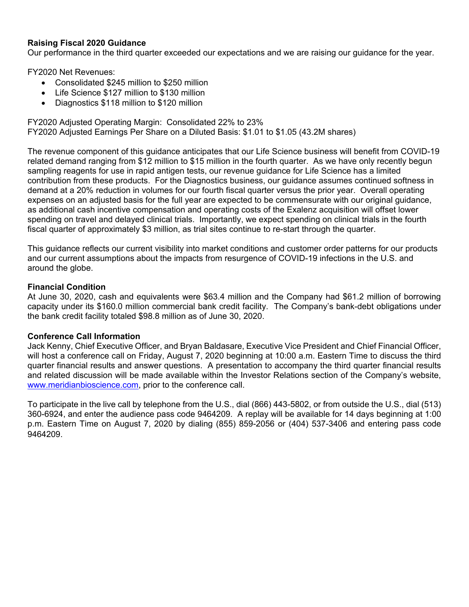### **Raising Fiscal 2020 Guidance**

Our performance in the third quarter exceeded our expectations and we are raising our guidance for the year.

FY2020 Net Revenues:

- Consolidated \$245 million to \$250 million
- Life Science \$127 million to \$130 million
- Diagnostics \$118 million to \$120 million

FY2020 Adjusted Operating Margin: Consolidated 22% to 23% FY2020 Adjusted Earnings Per Share on a Diluted Basis: \$1.01 to \$1.05 (43.2M shares)

The revenue component of this guidance anticipates that our Life Science business will benefit from COVID-19 related demand ranging from \$12 million to \$15 million in the fourth quarter. As we have only recently begun sampling reagents for use in rapid antigen tests, our revenue guidance for Life Science has a limited contribution from these products. For the Diagnostics business, our guidance assumes continued softness in demand at a 20% reduction in volumes for our fourth fiscal quarter versus the prior year. Overall operating expenses on an adjusted basis for the full year are expected to be commensurate with our original guidance, as additional cash incentive compensation and operating costs of the Exalenz acquisition will offset lower spending on travel and delayed clinical trials. Importantly, we expect spending on clinical trials in the fourth fiscal quarter of approximately \$3 million, as trial sites continue to re-start through the quarter.

This guidance reflects our current visibility into market conditions and customer order patterns for our products and our current assumptions about the impacts from resurgence of COVID-19 infections in the U.S. and around the globe.

#### **Financial Condition**

At June 30, 2020, cash and equivalents were \$63.4 million and the Company had \$61.2 million of borrowing capacity under its \$160.0 million commercial bank credit facility. The Company's bank-debt obligations under the bank credit facility totaled \$98.8 million as of June 30, 2020.

#### **Conference Call Information**

Jack Kenny, Chief Executive Officer, and Bryan Baldasare, Executive Vice President and Chief Financial Officer, will host a conference call on Friday, August 7, 2020 beginning at 10:00 a.m. Eastern Time to discuss the third quarter financial results and answer questions. A presentation to accompany the third quarter financial results and related discussion will be made available within the Investor Relations section of the Company's website, www.meridianbioscience.com, prior to the conference call.

To participate in the live call by telephone from the U.S., dial (866) 443-5802, or from outside the U.S., dial (513) 360-6924, and enter the audience pass code 9464209. A replay will be available for 14 days beginning at 1:00 p.m. Eastern Time on August 7, 2020 by dialing (855) 859-2056 or (404) 537-3406 and entering pass code 9464209.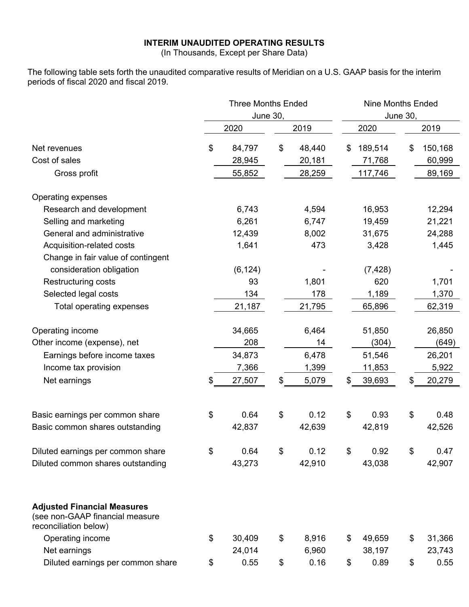# **INTERIM UNAUDITED OPERATING RESULTS**

(In Thousands, Except per Share Data)

The following table sets forth the unaudited comparative results of Meridian on a U.S. GAAP basis for the interim periods of fiscal 2020 and fiscal 2019.

|                                                                                                | <b>Three Months Ended</b><br>June 30, |          |    |        | <b>Nine Months Ended</b><br>June 30, |          |    |         |  |
|------------------------------------------------------------------------------------------------|---------------------------------------|----------|----|--------|--------------------------------------|----------|----|---------|--|
|                                                                                                |                                       | 2020     |    | 2019   |                                      | 2020     |    | 2019    |  |
|                                                                                                |                                       |          |    |        |                                      |          |    |         |  |
| Net revenues                                                                                   | \$                                    | 84,797   | \$ | 48,440 | \$                                   | 189,514  | \$ | 150,168 |  |
| Cost of sales                                                                                  |                                       | 28,945   |    | 20,181 |                                      | 71,768   |    | 60,999  |  |
| Gross profit                                                                                   |                                       | 55,852   |    | 28,259 |                                      | 117,746  |    | 89,169  |  |
| Operating expenses                                                                             |                                       |          |    |        |                                      |          |    |         |  |
| Research and development                                                                       |                                       | 6,743    |    | 4,594  |                                      | 16,953   |    | 12,294  |  |
| Selling and marketing                                                                          |                                       | 6,261    |    | 6,747  |                                      | 19,459   |    | 21,221  |  |
| General and administrative                                                                     |                                       | 12,439   |    | 8,002  |                                      | 31,675   |    | 24,288  |  |
| Acquisition-related costs                                                                      |                                       | 1,641    |    | 473    |                                      | 3,428    |    | 1,445   |  |
| Change in fair value of contingent                                                             |                                       |          |    |        |                                      |          |    |         |  |
| consideration obligation                                                                       |                                       | (6, 124) |    |        |                                      | (7, 428) |    |         |  |
| <b>Restructuring costs</b>                                                                     |                                       | 93       |    | 1,801  |                                      | 620      |    | 1,701   |  |
| Selected legal costs                                                                           |                                       | 134      |    | 178    |                                      | 1,189    |    | 1,370   |  |
| Total operating expenses                                                                       |                                       | 21,187   |    | 21,795 |                                      | 65,896   |    | 62,319  |  |
| Operating income                                                                               |                                       | 34,665   |    | 6,464  |                                      | 51,850   |    | 26,850  |  |
| Other income (expense), net                                                                    |                                       | 208      |    | 14     |                                      | (304)    |    | (649)   |  |
| Earnings before income taxes                                                                   |                                       | 34,873   |    | 6,478  |                                      | 51,546   |    | 26,201  |  |
| Income tax provision                                                                           |                                       | 7,366    |    | 1,399  |                                      | 11,853   |    | 5,922   |  |
| Net earnings                                                                                   | \$                                    | 27,507   | \$ | 5,079  | \$                                   | 39,693   | \$ | 20,279  |  |
|                                                                                                |                                       |          |    |        |                                      |          |    |         |  |
| Basic earnings per common share                                                                | \$                                    | 0.64     | \$ | 0.12   | \$                                   | 0.93     | \$ | 0.48    |  |
| Basic common shares outstanding                                                                |                                       | 42,837   |    | 42,639 |                                      | 42,819   |    | 42,526  |  |
| Diluted earnings per common share                                                              | \$                                    | 0.64     | \$ | 0.12   | \$                                   | 0.92     | \$ | 0.47    |  |
| Diluted common shares outstanding                                                              |                                       | 43,273   |    | 42,910 |                                      | 43,038   |    | 42,907  |  |
| <b>Adjusted Financial Measures</b><br>(see non-GAAP financial measure<br>reconciliation below) |                                       |          |    |        |                                      |          |    |         |  |
| Operating income                                                                               | \$                                    | 30,409   | \$ | 8,916  | \$                                   | 49,659   | \$ | 31,366  |  |
| Net earnings                                                                                   |                                       | 24,014   |    | 6,960  |                                      | 38,197   |    | 23,743  |  |
| Diluted earnings per common share                                                              | \$                                    | 0.55     | \$ | 0.16   | \$                                   | 0.89     | \$ | 0.55    |  |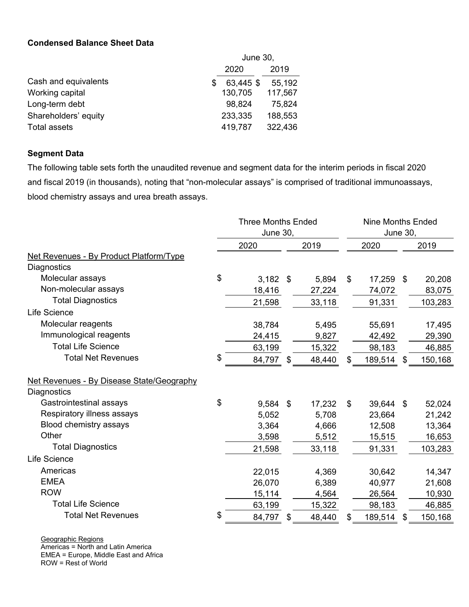#### **Condensed Balance Sheet Data**

|                      |      | June 30,  |         |  |  |  |
|----------------------|------|-----------|---------|--|--|--|
|                      | 2020 |           |         |  |  |  |
| Cash and equivalents |      | 63,445 \$ | 55,192  |  |  |  |
| Working capital      |      | 130,705   | 117,567 |  |  |  |
| Long-term debt       |      | 98,824    | 75,824  |  |  |  |
| Shareholders' equity |      | 233,335   | 188,553 |  |  |  |
| <b>Total assets</b>  |      | 419,787   | 322,436 |  |  |  |

# **Segment Data**

The following table sets forth the unaudited revenue and segment data for the interim periods in fiscal 2020 and fiscal 2019 (in thousands), noting that "non-molecular assays" is comprised of traditional immunoassays, blood chemistry assays and urea breath assays.

|                                           | <b>Three Months Ended</b><br><b>June 30,</b> |            |                |        |                | <b>Nine Months Ended</b><br><b>June 30,</b> |    |         |  |
|-------------------------------------------|----------------------------------------------|------------|----------------|--------|----------------|---------------------------------------------|----|---------|--|
|                                           |                                              | 2020       |                | 2019   |                | 2020                                        |    | 2019    |  |
| Net Revenues - By Product Platform/Type   |                                              |            |                |        |                |                                             |    |         |  |
| Diagnostics                               |                                              |            |                |        |                |                                             |    |         |  |
| Molecular assays                          | \$                                           | $3,182$ \$ |                | 5,894  | $\mathfrak{S}$ | 17,259                                      | \$ | 20,208  |  |
| Non-molecular assays                      |                                              | 18,416     |                | 27,224 |                | 74,072                                      |    | 83,075  |  |
| <b>Total Diagnostics</b>                  |                                              | 21,598     |                | 33,118 |                | 91,331                                      |    | 103,283 |  |
| Life Science                              |                                              |            |                |        |                |                                             |    |         |  |
| Molecular reagents                        |                                              | 38,784     |                | 5,495  |                | 55,691                                      |    | 17,495  |  |
| Immunological reagents                    |                                              | 24,415     |                | 9,827  |                | 42,492                                      |    | 29,390  |  |
| <b>Total Life Science</b>                 |                                              | 63,199     |                | 15,322 |                | 98,183                                      |    | 46,885  |  |
| <b>Total Net Revenues</b>                 | \$                                           | 84,797     | \$             | 48,440 | \$             | 189,514                                     | \$ | 150,168 |  |
| Net Revenues - By Disease State/Geography |                                              |            |                |        |                |                                             |    |         |  |
| Diagnostics                               |                                              |            |                |        |                |                                             |    |         |  |
| Gastrointestinal assays                   | \$                                           | 9,584      | $\mathfrak{F}$ | 17,232 | \$             | 39,644                                      | \$ | 52,024  |  |
| Respiratory illness assays                |                                              | 5,052      |                | 5,708  |                | 23,664                                      |    | 21,242  |  |
| Blood chemistry assays                    |                                              | 3,364      |                | 4,666  |                | 12,508                                      |    | 13,364  |  |
| Other                                     |                                              | 3,598      |                | 5,512  |                | 15,515                                      |    | 16,653  |  |
| <b>Total Diagnostics</b>                  |                                              | 21,598     |                | 33,118 |                | 91,331                                      |    | 103,283 |  |
| Life Science                              |                                              |            |                |        |                |                                             |    |         |  |
| Americas                                  |                                              | 22,015     |                | 4,369  |                | 30,642                                      |    | 14,347  |  |
| <b>EMEA</b>                               |                                              | 26,070     |                | 6,389  |                | 40,977                                      |    | 21,608  |  |
| <b>ROW</b>                                |                                              | 15,114     |                | 4,564  |                | 26,564                                      |    | 10,930  |  |
| <b>Total Life Science</b>                 |                                              | 63,199     |                | 15,322 |                | 98,183                                      |    | 46,885  |  |
| <b>Total Net Revenues</b>                 | \$                                           | 84,797     | \$             | 48,440 | \$             | 189,514                                     | \$ | 150,168 |  |

Geographic Regions

Americas = North and Latin America EMEA = Europe, Middle East and Africa ROW = Rest of World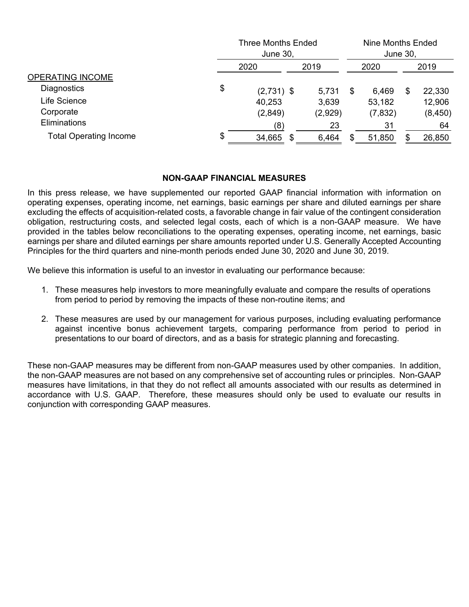|                               |    | <b>Three Months Ended</b><br>June 30, |    |         |    | Nine Months Ended<br>June 30, |    |          |  |
|-------------------------------|----|---------------------------------------|----|---------|----|-------------------------------|----|----------|--|
|                               |    | 2020                                  |    | 2019    |    | 2020                          |    | 2019     |  |
| <b>OPERATING INCOME</b>       |    |                                       |    |         |    |                               |    |          |  |
| Diagnostics                   | \$ | $(2,731)$ \$                          |    | 5,731   | \$ | 6,469                         | \$ | 22,330   |  |
| Life Science                  |    | 40,253                                |    | 3,639   |    | 53,182                        |    | 12,906   |  |
| Corporate                     |    | (2,849)                               |    | (2,929) |    | (7, 832)                      |    | (8, 450) |  |
| Eliminations                  |    | (8)                                   |    | 23      |    | 31                            |    | 64       |  |
| <b>Total Operating Income</b> | \$ | 34,665                                | \$ | 6,464   |    | 51,850                        |    | 26,850   |  |

#### **NON-GAAP FINANCIAL MEASURES**

In this press release, we have supplemented our reported GAAP financial information with information on operating expenses, operating income, net earnings, basic earnings per share and diluted earnings per share excluding the effects of acquisition-related costs, a favorable change in fair value of the contingent consideration obligation, restructuring costs, and selected legal costs, each of which is a non-GAAP measure. We have provided in the tables below reconciliations to the operating expenses, operating income, net earnings, basic earnings per share and diluted earnings per share amounts reported under U.S. Generally Accepted Accounting Principles for the third quarters and nine-month periods ended June 30, 2020 and June 30, 2019.

We believe this information is useful to an investor in evaluating our performance because:

- 1. These measures help investors to more meaningfully evaluate and compare the results of operations from period to period by removing the impacts of these non-routine items; and
- 2. These measures are used by our management for various purposes, including evaluating performance against incentive bonus achievement targets, comparing performance from period to period in presentations to our board of directors, and as a basis for strategic planning and forecasting.

These non-GAAP measures may be different from non-GAAP measures used by other companies. In addition, the non-GAAP measures are not based on any comprehensive set of accounting rules or principles. Non-GAAP measures have limitations, in that they do not reflect all amounts associated with our results as determined in accordance with U.S. GAAP. Therefore, these measures should only be used to evaluate our results in conjunction with corresponding GAAP measures.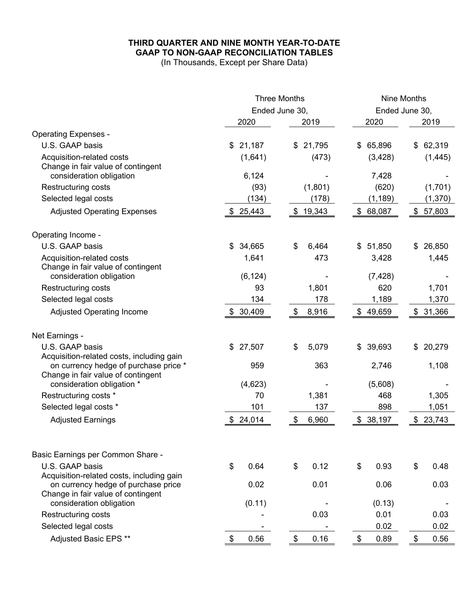# **THIRD QUARTER AND NINE MONTH YEAR-TO-DATE GAAP TO NON-GAAP RECONCILIATION TABLES**

(In Thousands, Except per Share Data)

| Ended June 30,<br>Ended June 30,<br>2020<br>2019<br>2020<br>2019<br><b>Operating Expenses -</b><br>U.S. GAAP basis<br>21,795<br>\$65,896<br>\$62,319<br>\$<br>21,187<br>\$<br>Acquisition-related costs<br>(1,641)<br>(473)<br>(3, 428)<br>(1, 445)<br>Change in fair value of contingent<br>consideration obligation<br>6,124<br>7,428<br>(93)<br>(1,801)<br>(620)<br>(1,701)<br><b>Restructuring costs</b><br>(1, 370)<br>Selected legal costs<br>(134)<br>(178)<br>(1, 189)<br>\$19,343<br>\$68,087<br>\$25,443<br>\$57,803<br><b>Adjusted Operating Expenses</b><br>Operating Income -<br>U.S. GAAP basis<br>34,665<br>\$51,850<br>26,850<br>\$<br>\$<br>6,464<br>\$<br>473<br>Acquisition-related costs<br>1,641<br>3,428<br>1,445<br>Change in fair value of contingent<br>(6, 124)<br>(7, 428)<br>consideration obligation<br>93<br>1,801<br>620<br>Restructuring costs<br>1,701<br>134<br>Selected legal costs<br>178<br>1,189<br>1,370<br>\$30,409<br>8,916<br>\$49,659<br>\$<br>\$<br>31,366<br><b>Adjusted Operating Income</b><br>Net Earnings -<br>U.S. GAAP basis<br>27,507<br>5,079<br>\$39,693<br>\$<br>\$<br>\$20,279<br>Acquisition-related costs, including gain<br>959<br>363<br>on currency hedge of purchase price *<br>2,746<br>1,108<br>Change in fair value of contingent<br>(4,623)<br>consideration obligation *<br>(5,608)<br>70<br>468<br>Restructuring costs *<br>1,381<br>1,305<br>Selected legal costs *<br>101<br>137<br>898<br>1,051<br><b>Adjusted Earnings</b><br>\$24,014<br>6,960<br>38,197<br>\$<br>23,743<br>\$<br>\$ |                                   | <b>Three Months</b> | <b>Nine Months</b> |  |  |  |
|---------------------------------------------------------------------------------------------------------------------------------------------------------------------------------------------------------------------------------------------------------------------------------------------------------------------------------------------------------------------------------------------------------------------------------------------------------------------------------------------------------------------------------------------------------------------------------------------------------------------------------------------------------------------------------------------------------------------------------------------------------------------------------------------------------------------------------------------------------------------------------------------------------------------------------------------------------------------------------------------------------------------------------------------------------------------------------------------------------------------------------------------------------------------------------------------------------------------------------------------------------------------------------------------------------------------------------------------------------------------------------------------------------------------------------------------------------------------------------------------------------------------------------------------------------------|-----------------------------------|---------------------|--------------------|--|--|--|
|                                                                                                                                                                                                                                                                                                                                                                                                                                                                                                                                                                                                                                                                                                                                                                                                                                                                                                                                                                                                                                                                                                                                                                                                                                                                                                                                                                                                                                                                                                                                                               |                                   |                     |                    |  |  |  |
|                                                                                                                                                                                                                                                                                                                                                                                                                                                                                                                                                                                                                                                                                                                                                                                                                                                                                                                                                                                                                                                                                                                                                                                                                                                                                                                                                                                                                                                                                                                                                               |                                   |                     |                    |  |  |  |
|                                                                                                                                                                                                                                                                                                                                                                                                                                                                                                                                                                                                                                                                                                                                                                                                                                                                                                                                                                                                                                                                                                                                                                                                                                                                                                                                                                                                                                                                                                                                                               |                                   |                     |                    |  |  |  |
|                                                                                                                                                                                                                                                                                                                                                                                                                                                                                                                                                                                                                                                                                                                                                                                                                                                                                                                                                                                                                                                                                                                                                                                                                                                                                                                                                                                                                                                                                                                                                               |                                   |                     |                    |  |  |  |
|                                                                                                                                                                                                                                                                                                                                                                                                                                                                                                                                                                                                                                                                                                                                                                                                                                                                                                                                                                                                                                                                                                                                                                                                                                                                                                                                                                                                                                                                                                                                                               |                                   |                     |                    |  |  |  |
|                                                                                                                                                                                                                                                                                                                                                                                                                                                                                                                                                                                                                                                                                                                                                                                                                                                                                                                                                                                                                                                                                                                                                                                                                                                                                                                                                                                                                                                                                                                                                               |                                   |                     |                    |  |  |  |
|                                                                                                                                                                                                                                                                                                                                                                                                                                                                                                                                                                                                                                                                                                                                                                                                                                                                                                                                                                                                                                                                                                                                                                                                                                                                                                                                                                                                                                                                                                                                                               |                                   |                     |                    |  |  |  |
|                                                                                                                                                                                                                                                                                                                                                                                                                                                                                                                                                                                                                                                                                                                                                                                                                                                                                                                                                                                                                                                                                                                                                                                                                                                                                                                                                                                                                                                                                                                                                               |                                   |                     |                    |  |  |  |
|                                                                                                                                                                                                                                                                                                                                                                                                                                                                                                                                                                                                                                                                                                                                                                                                                                                                                                                                                                                                                                                                                                                                                                                                                                                                                                                                                                                                                                                                                                                                                               |                                   |                     |                    |  |  |  |
|                                                                                                                                                                                                                                                                                                                                                                                                                                                                                                                                                                                                                                                                                                                                                                                                                                                                                                                                                                                                                                                                                                                                                                                                                                                                                                                                                                                                                                                                                                                                                               |                                   |                     |                    |  |  |  |
|                                                                                                                                                                                                                                                                                                                                                                                                                                                                                                                                                                                                                                                                                                                                                                                                                                                                                                                                                                                                                                                                                                                                                                                                                                                                                                                                                                                                                                                                                                                                                               |                                   |                     |                    |  |  |  |
|                                                                                                                                                                                                                                                                                                                                                                                                                                                                                                                                                                                                                                                                                                                                                                                                                                                                                                                                                                                                                                                                                                                                                                                                                                                                                                                                                                                                                                                                                                                                                               |                                   |                     |                    |  |  |  |
|                                                                                                                                                                                                                                                                                                                                                                                                                                                                                                                                                                                                                                                                                                                                                                                                                                                                                                                                                                                                                                                                                                                                                                                                                                                                                                                                                                                                                                                                                                                                                               |                                   |                     |                    |  |  |  |
|                                                                                                                                                                                                                                                                                                                                                                                                                                                                                                                                                                                                                                                                                                                                                                                                                                                                                                                                                                                                                                                                                                                                                                                                                                                                                                                                                                                                                                                                                                                                                               |                                   |                     |                    |  |  |  |
|                                                                                                                                                                                                                                                                                                                                                                                                                                                                                                                                                                                                                                                                                                                                                                                                                                                                                                                                                                                                                                                                                                                                                                                                                                                                                                                                                                                                                                                                                                                                                               |                                   |                     |                    |  |  |  |
|                                                                                                                                                                                                                                                                                                                                                                                                                                                                                                                                                                                                                                                                                                                                                                                                                                                                                                                                                                                                                                                                                                                                                                                                                                                                                                                                                                                                                                                                                                                                                               |                                   |                     |                    |  |  |  |
|                                                                                                                                                                                                                                                                                                                                                                                                                                                                                                                                                                                                                                                                                                                                                                                                                                                                                                                                                                                                                                                                                                                                                                                                                                                                                                                                                                                                                                                                                                                                                               |                                   |                     |                    |  |  |  |
|                                                                                                                                                                                                                                                                                                                                                                                                                                                                                                                                                                                                                                                                                                                                                                                                                                                                                                                                                                                                                                                                                                                                                                                                                                                                                                                                                                                                                                                                                                                                                               |                                   |                     |                    |  |  |  |
|                                                                                                                                                                                                                                                                                                                                                                                                                                                                                                                                                                                                                                                                                                                                                                                                                                                                                                                                                                                                                                                                                                                                                                                                                                                                                                                                                                                                                                                                                                                                                               |                                   |                     |                    |  |  |  |
|                                                                                                                                                                                                                                                                                                                                                                                                                                                                                                                                                                                                                                                                                                                                                                                                                                                                                                                                                                                                                                                                                                                                                                                                                                                                                                                                                                                                                                                                                                                                                               |                                   |                     |                    |  |  |  |
|                                                                                                                                                                                                                                                                                                                                                                                                                                                                                                                                                                                                                                                                                                                                                                                                                                                                                                                                                                                                                                                                                                                                                                                                                                                                                                                                                                                                                                                                                                                                                               |                                   |                     |                    |  |  |  |
|                                                                                                                                                                                                                                                                                                                                                                                                                                                                                                                                                                                                                                                                                                                                                                                                                                                                                                                                                                                                                                                                                                                                                                                                                                                                                                                                                                                                                                                                                                                                                               |                                   |                     |                    |  |  |  |
|                                                                                                                                                                                                                                                                                                                                                                                                                                                                                                                                                                                                                                                                                                                                                                                                                                                                                                                                                                                                                                                                                                                                                                                                                                                                                                                                                                                                                                                                                                                                                               |                                   |                     |                    |  |  |  |
|                                                                                                                                                                                                                                                                                                                                                                                                                                                                                                                                                                                                                                                                                                                                                                                                                                                                                                                                                                                                                                                                                                                                                                                                                                                                                                                                                                                                                                                                                                                                                               |                                   |                     |                    |  |  |  |
|                                                                                                                                                                                                                                                                                                                                                                                                                                                                                                                                                                                                                                                                                                                                                                                                                                                                                                                                                                                                                                                                                                                                                                                                                                                                                                                                                                                                                                                                                                                                                               |                                   |                     |                    |  |  |  |
|                                                                                                                                                                                                                                                                                                                                                                                                                                                                                                                                                                                                                                                                                                                                                                                                                                                                                                                                                                                                                                                                                                                                                                                                                                                                                                                                                                                                                                                                                                                                                               |                                   |                     |                    |  |  |  |
|                                                                                                                                                                                                                                                                                                                                                                                                                                                                                                                                                                                                                                                                                                                                                                                                                                                                                                                                                                                                                                                                                                                                                                                                                                                                                                                                                                                                                                                                                                                                                               |                                   |                     |                    |  |  |  |
|                                                                                                                                                                                                                                                                                                                                                                                                                                                                                                                                                                                                                                                                                                                                                                                                                                                                                                                                                                                                                                                                                                                                                                                                                                                                                                                                                                                                                                                                                                                                                               | Basic Earnings per Common Share - |                     |                    |  |  |  |
| \$<br>\$<br>U.S. GAAP basis<br>0.64<br>\$<br>0.12<br>\$<br>0.93<br>0.48                                                                                                                                                                                                                                                                                                                                                                                                                                                                                                                                                                                                                                                                                                                                                                                                                                                                                                                                                                                                                                                                                                                                                                                                                                                                                                                                                                                                                                                                                       |                                   |                     |                    |  |  |  |
| Acquisition-related costs, including gain                                                                                                                                                                                                                                                                                                                                                                                                                                                                                                                                                                                                                                                                                                                                                                                                                                                                                                                                                                                                                                                                                                                                                                                                                                                                                                                                                                                                                                                                                                                     |                                   |                     |                    |  |  |  |
| on currency hedge of purchase price<br>0.01<br>0.02<br>0.06<br>0.03<br>Change in fair value of contingent                                                                                                                                                                                                                                                                                                                                                                                                                                                                                                                                                                                                                                                                                                                                                                                                                                                                                                                                                                                                                                                                                                                                                                                                                                                                                                                                                                                                                                                     |                                   |                     |                    |  |  |  |
| (0.11)<br>(0.13)<br>consideration obligation                                                                                                                                                                                                                                                                                                                                                                                                                                                                                                                                                                                                                                                                                                                                                                                                                                                                                                                                                                                                                                                                                                                                                                                                                                                                                                                                                                                                                                                                                                                  |                                   |                     |                    |  |  |  |
| 0.01<br>0.03<br>0.03<br>Restructuring costs                                                                                                                                                                                                                                                                                                                                                                                                                                                                                                                                                                                                                                                                                                                                                                                                                                                                                                                                                                                                                                                                                                                                                                                                                                                                                                                                                                                                                                                                                                                   |                                   |                     |                    |  |  |  |
| Selected legal costs<br>0.02<br>0.02                                                                                                                                                                                                                                                                                                                                                                                                                                                                                                                                                                                                                                                                                                                                                                                                                                                                                                                                                                                                                                                                                                                                                                                                                                                                                                                                                                                                                                                                                                                          |                                   |                     |                    |  |  |  |
| Adjusted Basic EPS **<br>0.56<br>0.16<br>0.89<br>\$<br>0.56<br>\$<br>\$<br>\$                                                                                                                                                                                                                                                                                                                                                                                                                                                                                                                                                                                                                                                                                                                                                                                                                                                                                                                                                                                                                                                                                                                                                                                                                                                                                                                                                                                                                                                                                 |                                   |                     |                    |  |  |  |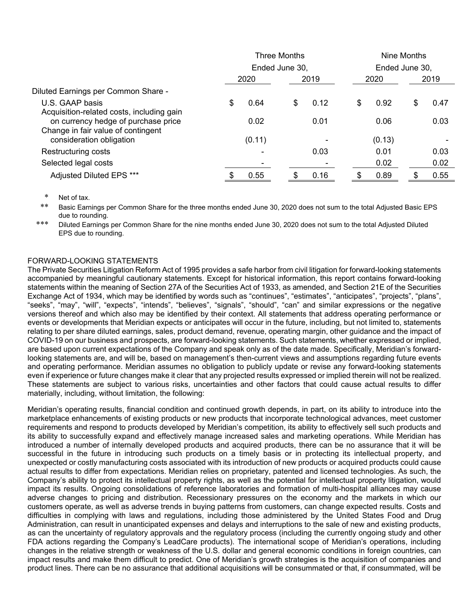|                                                                                  |            | <b>Three Months</b><br>Ended June 30,<br>2019<br>2020<br>0.12<br>0.92<br>\$<br>\$<br>0.01<br>0.06<br>(0.13)<br>0.03<br>0.01 |      |  |      | Nine Months    |      |  |
|----------------------------------------------------------------------------------|------------|-----------------------------------------------------------------------------------------------------------------------------|------|--|------|----------------|------|--|
|                                                                                  |            |                                                                                                                             |      |  |      | Ended June 30, |      |  |
|                                                                                  | 2020       |                                                                                                                             |      |  |      |                | 2019 |  |
| Diluted Earnings per Common Share -                                              |            |                                                                                                                             |      |  |      |                |      |  |
| U.S. GAAP basis                                                                  | \$<br>0.64 |                                                                                                                             |      |  |      | \$             | 0.47 |  |
| Acquisition-related costs, including gain<br>on currency hedge of purchase price | 0.02       |                                                                                                                             |      |  |      |                | 0.03 |  |
| Change in fair value of contingent<br>consideration obligation                   | (0.11)     |                                                                                                                             |      |  |      |                |      |  |
| Restructuring costs                                                              |            |                                                                                                                             |      |  |      |                | 0.03 |  |
| Selected legal costs                                                             |            |                                                                                                                             |      |  | 0.02 |                | 0.02 |  |
| Adjusted Diluted EPS ***                                                         | 0.55       |                                                                                                                             | 0.16 |  | 0.89 |                | 0.55 |  |

Net of tax.

Basic Earnings per Common Share for the three months ended June 30, 2020 does not sum to the total Adjusted Basic EPS due to rounding.

 \*\*\* Diluted Earnings per Common Share for the nine months ended June 30, 2020 does not sum to the total Adjusted Diluted EPS due to rounding.

#### FORWARD-LOOKING STATEMENTS

The Private Securities Litigation Reform Act of 1995 provides a safe harbor from civil litigation for forward-looking statements accompanied by meaningful cautionary statements. Except for historical information, this report contains forward-looking statements within the meaning of Section 27A of the Securities Act of 1933, as amended, and Section 21E of the Securities Exchange Act of 1934, which may be identified by words such as "continues", "estimates", "anticipates", "projects", "plans", "seeks", "may", "will", "expects", "intends", "believes", "signals", "should", "can" and similar expressions or the negative versions thereof and which also may be identified by their context. All statements that address operating performance or events or developments that Meridian expects or anticipates will occur in the future, including, but not limited to, statements relating to per share diluted earnings, sales, product demand, revenue, operating margin, other guidance and the impact of COVID-19 on our business and prospects, are forward-looking statements. Such statements, whether expressed or implied, are based upon current expectations of the Company and speak only as of the date made. Specifically, Meridian's forwardlooking statements are, and will be, based on management's then-current views and assumptions regarding future events and operating performance. Meridian assumes no obligation to publicly update or revise any forward-looking statements even if experience or future changes make it clear that any projected results expressed or implied therein will not be realized. These statements are subject to various risks, uncertainties and other factors that could cause actual results to differ materially, including, without limitation, the following:

Meridian's operating results, financial condition and continued growth depends, in part, on its ability to introduce into the marketplace enhancements of existing products or new products that incorporate technological advances, meet customer requirements and respond to products developed by Meridian's competition, its ability to effectively sell such products and its ability to successfully expand and effectively manage increased sales and marketing operations. While Meridian has introduced a number of internally developed products and acquired products, there can be no assurance that it will be successful in the future in introducing such products on a timely basis or in protecting its intellectual property, and unexpected or costly manufacturing costs associated with its introduction of new products or acquired products could cause actual results to differ from expectations. Meridian relies on proprietary, patented and licensed technologies. As such, the Company's ability to protect its intellectual property rights, as well as the potential for intellectual property litigation, would impact its results. Ongoing consolidations of reference laboratories and formation of multi-hospital alliances may cause adverse changes to pricing and distribution. Recessionary pressures on the economy and the markets in which our customers operate, as well as adverse trends in buying patterns from customers, can change expected results. Costs and difficulties in complying with laws and regulations, including those administered by the United States Food and Drug Administration, can result in unanticipated expenses and delays and interruptions to the sale of new and existing products, as can the uncertainty of regulatory approvals and the regulatory process (including the currently ongoing study and other FDA actions regarding the Company's LeadCare products). The international scope of Meridian's operations, including changes in the relative strength or weakness of the U.S. dollar and general economic conditions in foreign countries, can impact results and make them difficult to predict. One of Meridian's growth strategies is the acquisition of companies and product lines. There can be no assurance that additional acquisitions will be consummated or that, if consummated, will be